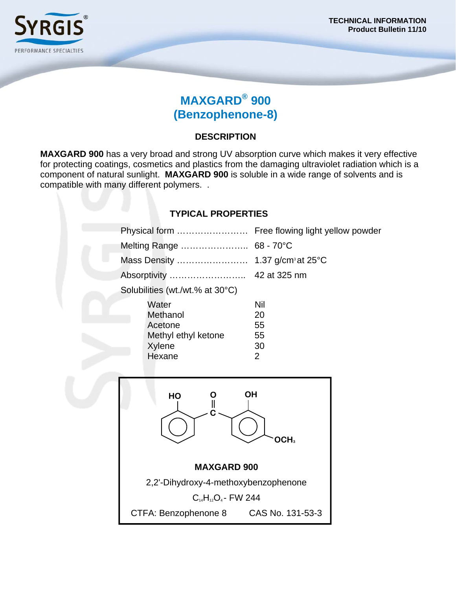

# **MAXGARD® 900 (Benzophenone-8)**

## **DESCRIPTION**

**MAXGARD 900** has a very broad and strong UV absorption curve which makes it very effective for protecting coatings, cosmetics and plastics from the damaging ultraviolet radiation which is a component of natural sunlight. **MAXGARD 900** is soluble in a wide range of solvents and is compatible with many different polymers. .

## **TYPICAL PROPERTIES**

| Physical form                                                           | Free flowing light yellow powder         |
|-------------------------------------------------------------------------|------------------------------------------|
| Melting Range                                                           | $68 - 70^{\circ}C$                       |
| Mass Density                                                            | 1.37 g/cm <sup>3</sup> at $25^{\circ}$ C |
| Absorptivity                                                            | 42 at 325 nm                             |
| Solubilities (wt./wt.% at 30°C)                                         |                                          |
| Water<br>Methanol<br>Acetone<br>Methyl ethyl ketone<br>Xylene<br>Hexane | Nil<br>20<br>55<br>55<br>30<br>2         |
| HO                                                                      | OН                                       |